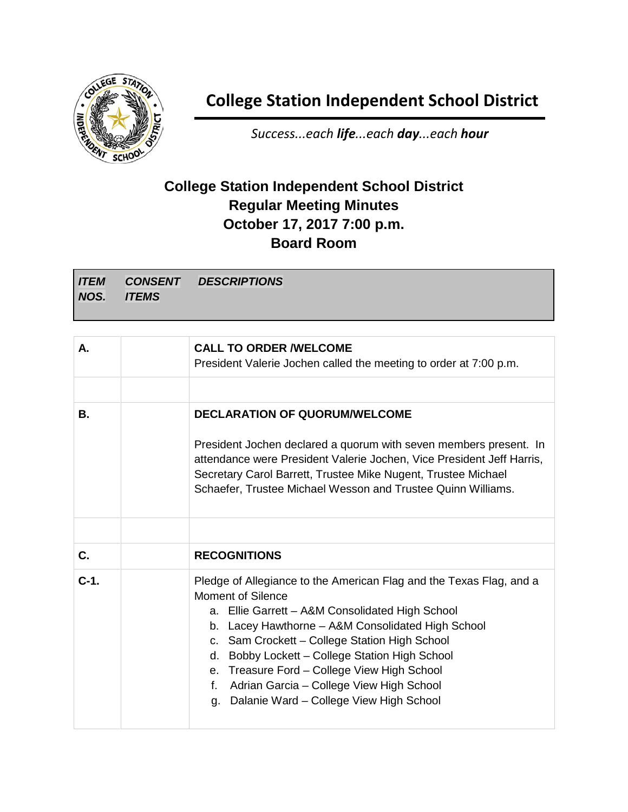

## **College Station Independent School District**

*Success...each life...each day...each hour*

## **College Station Independent School District Regular Meeting Minutes October 17, 2017 7:00 p.m. Board Room**

*ITEM NOS. CONSENT ITEMS DESCRIPTIONS*

| А.     | <b>CALL TO ORDER WELCOME</b><br>President Valerie Jochen called the meeting to order at 7:00 p.m.                                                                                                                                                                                                                                                                                                                                                        |
|--------|----------------------------------------------------------------------------------------------------------------------------------------------------------------------------------------------------------------------------------------------------------------------------------------------------------------------------------------------------------------------------------------------------------------------------------------------------------|
|        |                                                                                                                                                                                                                                                                                                                                                                                                                                                          |
| В.     | <b>DECLARATION OF QUORUM/WELCOME</b>                                                                                                                                                                                                                                                                                                                                                                                                                     |
|        | President Jochen declared a quorum with seven members present. In<br>attendance were President Valerie Jochen, Vice President Jeff Harris,<br>Secretary Carol Barrett, Trustee Mike Nugent, Trustee Michael<br>Schaefer, Trustee Michael Wesson and Trustee Quinn Williams.                                                                                                                                                                              |
|        |                                                                                                                                                                                                                                                                                                                                                                                                                                                          |
| C.     | <b>RECOGNITIONS</b>                                                                                                                                                                                                                                                                                                                                                                                                                                      |
| $C-1.$ | Pledge of Allegiance to the American Flag and the Texas Flag, and a<br>Moment of Silence<br>a. Ellie Garrett - A&M Consolidated High School<br>b. Lacey Hawthorne - A&M Consolidated High School<br>c. Sam Crockett - College Station High School<br>Bobby Lockett - College Station High School<br>d.<br>e. Treasure Ford - College View High School<br>Adrian Garcia - College View High School<br>f.<br>Dalanie Ward - College View High School<br>g. |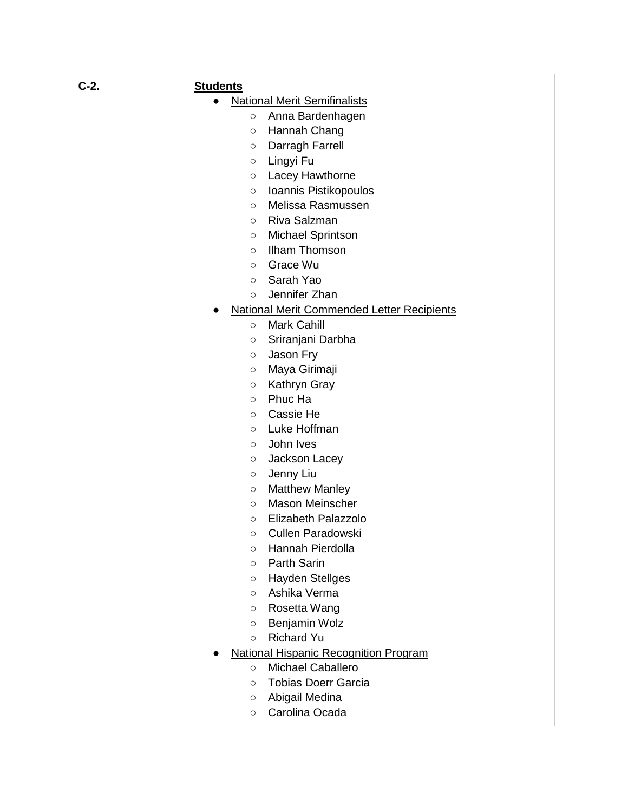| $C-2.$ | <b>Students</b>                                   |
|--------|---------------------------------------------------|
|        | <b>National Merit Semifinalists</b>               |
|        | Anna Bardenhagen<br>$\circ$                       |
|        | Hannah Chang<br>$\circ$                           |
|        | Darragh Farrell<br>$\circ$                        |
|        | Lingyi Fu<br>$\circ$                              |
|        | Lacey Hawthorne<br>$\circ$                        |
|        | Ioannis Pistikopoulos<br>$\circ$                  |
|        | Melissa Rasmussen<br>$\circ$                      |
|        | Riva Salzman<br>$\circ$                           |
|        | Michael Sprintson<br>$\circ$                      |
|        | Ilham Thomson<br>$\circ$                          |
|        | Grace Wu<br>$\circ$                               |
|        | Sarah Yao<br>$\circ$                              |
|        | Jennifer Zhan<br>$\circ$                          |
|        | <b>National Merit Commended Letter Recipients</b> |
|        | <b>Mark Cahill</b><br>$\circ$                     |
|        | Sriranjani Darbha<br>$\circ$                      |
|        | Jason Fry<br>$\circ$                              |
|        | Maya Girimaji<br>$\circ$                          |
|        | Kathryn Gray<br>$\circ$<br>Phuc Ha                |
|        | $\circ$<br>Cassie He                              |
|        | $\circ$<br>Luke Hoffman<br>$\circ$                |
|        | John Ives<br>$\circ$                              |
|        | Jackson Lacey<br>$\circ$                          |
|        | Jenny Liu<br>$\circ$                              |
|        | <b>Matthew Manley</b><br>$\circ$                  |
|        | <b>Mason Meinscher</b><br>$\circ$                 |
|        | Elizabeth Palazzolo<br>$\circ$                    |
|        | Cullen Paradowski<br>$\cap$                       |
|        | Hannah Pierdolla<br>$\circ$                       |
|        | Parth Sarin<br>$\circ$                            |
|        | <b>Hayden Stellges</b><br>$\circ$                 |
|        | Ashika Verma<br>$\circ$                           |
|        | Rosetta Wang<br>$\circ$                           |
|        | Benjamin Wolz<br>$\circ$                          |
|        | <b>Richard Yu</b><br>$\circ$                      |
|        | <b>National Hispanic Recognition Program</b>      |
|        | <b>Michael Caballero</b><br>$\circ$               |
|        | <b>Tobias Doerr Garcia</b><br>$\circ$             |
|        | Abigail Medina<br>$\circ$                         |
|        | Carolina Ocada<br>$\circ$                         |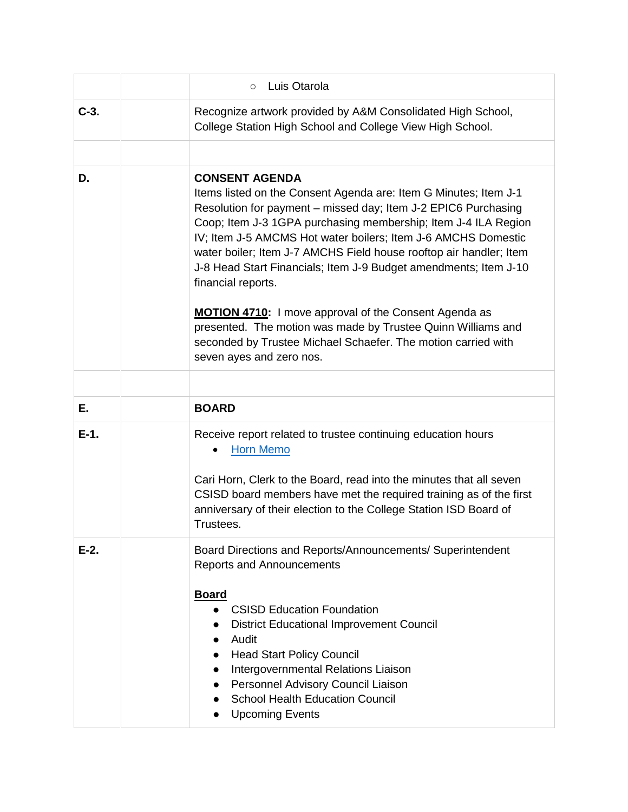|         | Luis Otarola<br>$\circ$                                                                                                                                                                                                                                                                                                                                                                                                                                                                                                                                                                                                                                                                     |
|---------|---------------------------------------------------------------------------------------------------------------------------------------------------------------------------------------------------------------------------------------------------------------------------------------------------------------------------------------------------------------------------------------------------------------------------------------------------------------------------------------------------------------------------------------------------------------------------------------------------------------------------------------------------------------------------------------------|
| $C-3.$  | Recognize artwork provided by A&M Consolidated High School,<br>College Station High School and College View High School.                                                                                                                                                                                                                                                                                                                                                                                                                                                                                                                                                                    |
| D.      | <b>CONSENT AGENDA</b><br>Items listed on the Consent Agenda are: Item G Minutes; Item J-1<br>Resolution for payment - missed day; Item J-2 EPIC6 Purchasing<br>Coop; Item J-3 1GPA purchasing membership; Item J-4 ILA Region<br>IV; Item J-5 AMCMS Hot water boilers; Item J-6 AMCHS Domestic<br>water boiler; Item J-7 AMCHS Field house rooftop air handler; Item<br>J-8 Head Start Financials; Item J-9 Budget amendments; Item J-10<br>financial reports.<br><b>MOTION 4710:</b> I move approval of the Consent Agenda as<br>presented. The motion was made by Trustee Quinn Williams and<br>seconded by Trustee Michael Schaefer. The motion carried with<br>seven ayes and zero nos. |
|         |                                                                                                                                                                                                                                                                                                                                                                                                                                                                                                                                                                                                                                                                                             |
| Е.      | <b>BOARD</b>                                                                                                                                                                                                                                                                                                                                                                                                                                                                                                                                                                                                                                                                                |
| $E-1$ . | Receive report related to trustee continuing education hours<br><b>Horn Memo</b><br>Cari Horn, Clerk to the Board, read into the minutes that all seven<br>CSISD board members have met the required training as of the first<br>anniversary of their election to the College Station ISD Board of<br>Trustees.                                                                                                                                                                                                                                                                                                                                                                             |
| $E-2$ . | Board Directions and Reports/Announcements/ Superintendent<br><b>Reports and Announcements</b><br><b>Board</b><br><b>CSISD Education Foundation</b><br><b>District Educational Improvement Council</b><br>Audit<br><b>Head Start Policy Council</b><br>Intergovernmental Relations Liaison<br>Personnel Advisory Council Liaison<br><b>School Health Education Council</b><br><b>Upcoming Events</b>                                                                                                                                                                                                                                                                                        |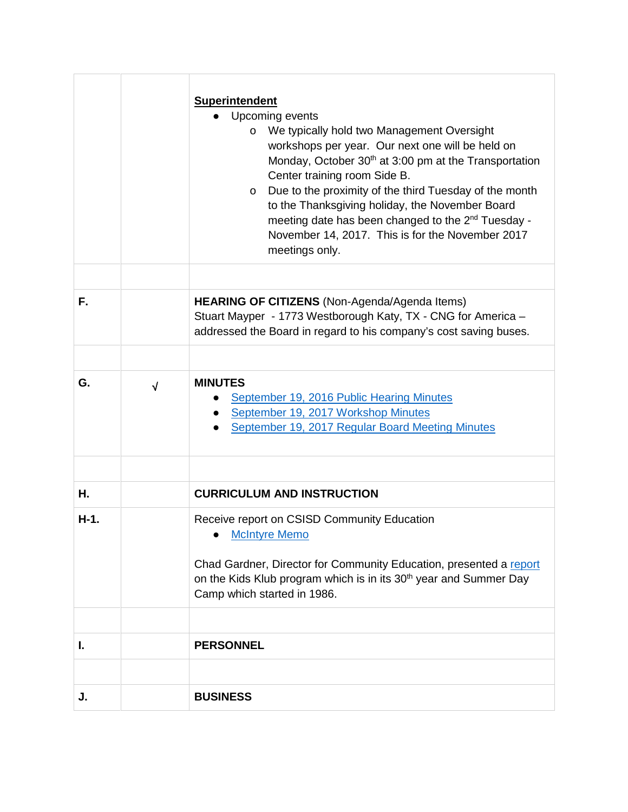|        |            | <b>Superintendent</b><br>Upcoming events<br>We typically hold two Management Oversight<br>$\circ$<br>workshops per year. Our next one will be held on<br>Monday, October 30 <sup>th</sup> at 3:00 pm at the Transportation<br>Center training room Side B.<br>Due to the proximity of the third Tuesday of the month<br>$\circ$<br>to the Thanksgiving holiday, the November Board<br>meeting date has been changed to the 2 <sup>nd</sup> Tuesday -<br>November 14, 2017. This is for the November 2017<br>meetings only. |
|--------|------------|----------------------------------------------------------------------------------------------------------------------------------------------------------------------------------------------------------------------------------------------------------------------------------------------------------------------------------------------------------------------------------------------------------------------------------------------------------------------------------------------------------------------------|
|        |            |                                                                                                                                                                                                                                                                                                                                                                                                                                                                                                                            |
| F.     |            | <b>HEARING OF CITIZENS</b> (Non-Agenda/Agenda Items)<br>Stuart Mayper - 1773 Westborough Katy, TX - CNG for America -<br>addressed the Board in regard to his company's cost saving buses.                                                                                                                                                                                                                                                                                                                                 |
|        |            |                                                                                                                                                                                                                                                                                                                                                                                                                                                                                                                            |
| G.     | $\sqrt{ }$ | <b>MINUTES</b><br>September 19, 2016 Public Hearing Minutes<br>September 19, 2017 Workshop Minutes<br>September 19, 2017 Regular Board Meeting Minutes                                                                                                                                                                                                                                                                                                                                                                     |
| Н.     |            | <b>CURRICULUM AND INSTRUCTION</b>                                                                                                                                                                                                                                                                                                                                                                                                                                                                                          |
| $H-1.$ |            | Receive report on CSISD Community Education<br><b>McIntyre Memo</b><br>Chad Gardner, Director for Community Education, presented a report<br>on the Kids Klub program which is in its 30 <sup>th</sup> year and Summer Day<br>Camp which started in 1986.                                                                                                                                                                                                                                                                  |
|        |            |                                                                                                                                                                                                                                                                                                                                                                                                                                                                                                                            |
| I.     |            | <b>PERSONNEL</b>                                                                                                                                                                                                                                                                                                                                                                                                                                                                                                           |
|        |            |                                                                                                                                                                                                                                                                                                                                                                                                                                                                                                                            |
| J.     |            | <b>BUSINESS</b>                                                                                                                                                                                                                                                                                                                                                                                                                                                                                                            |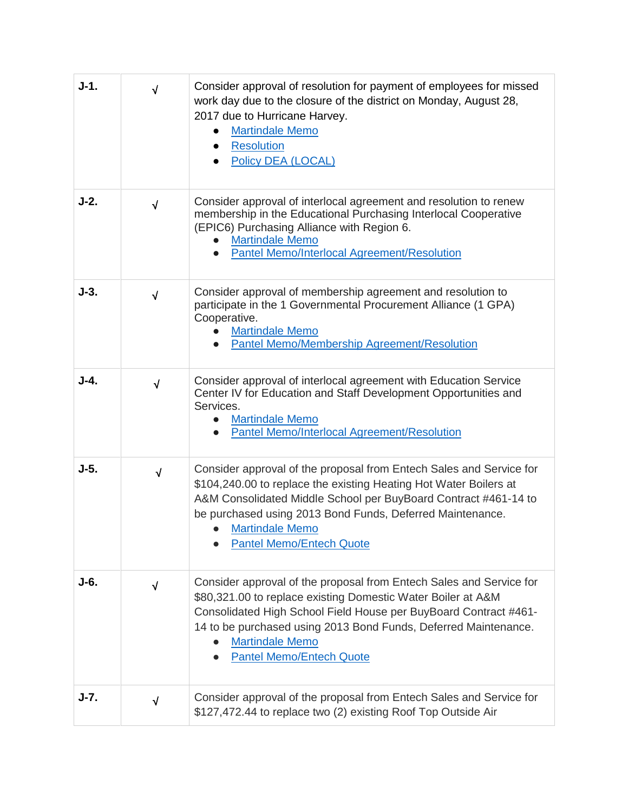| $J-1.$ | $\sqrt{}$  | Consider approval of resolution for payment of employees for missed<br>work day due to the closure of the district on Monday, August 28,<br>2017 due to Hurricane Harvey.<br><b>Martindale Memo</b><br><b>Resolution</b><br>$\bullet$<br>Policy DEA (LOCAL)                                                                             |
|--------|------------|-----------------------------------------------------------------------------------------------------------------------------------------------------------------------------------------------------------------------------------------------------------------------------------------------------------------------------------------|
| $J-2.$ | $\sqrt{}$  | Consider approval of interlocal agreement and resolution to renew<br>membership in the Educational Purchasing Interlocal Cooperative<br>(EPIC6) Purchasing Alliance with Region 6.<br><b>Martindale Memo</b><br>Pantel Memo/Interlocal Agreement/Resolution                                                                             |
| $J-3.$ | $\sqrt{}$  | Consider approval of membership agreement and resolution to<br>participate in the 1 Governmental Procurement Alliance (1 GPA)<br>Cooperative.<br><b>Martindale Memo</b><br>Pantel Memo/Membership Agreement/Resolution                                                                                                                  |
| $J-4.$ | $\sqrt{ }$ | Consider approval of interlocal agreement with Education Service<br>Center IV for Education and Staff Development Opportunities and<br>Services.<br><b>Martindale Memo</b><br>Pantel Memo/Interlocal Agreement/Resolution                                                                                                               |
| $J-5.$ | $\sqrt{ }$ | Consider approval of the proposal from Entech Sales and Service for<br>\$104,240.00 to replace the existing Heating Hot Water Boilers at<br>A&M Consolidated Middle School per BuyBoard Contract #461-14 to<br>be purchased using 2013 Bond Funds, Deferred Maintenance.<br><b>Martindale Memo</b><br><b>Pantel Memo/Entech Quote</b>   |
| J-6.   | $\sqrt{}$  | Consider approval of the proposal from Entech Sales and Service for<br>\$80,321.00 to replace existing Domestic Water Boiler at A&M<br>Consolidated High School Field House per BuyBoard Contract #461-<br>14 to be purchased using 2013 Bond Funds, Deferred Maintenance.<br><b>Martindale Memo</b><br><b>Pantel Memo/Entech Quote</b> |
| $J-7.$ | $\sqrt{ }$ | Consider approval of the proposal from Entech Sales and Service for<br>\$127,472.44 to replace two (2) existing Roof Top Outside Air                                                                                                                                                                                                    |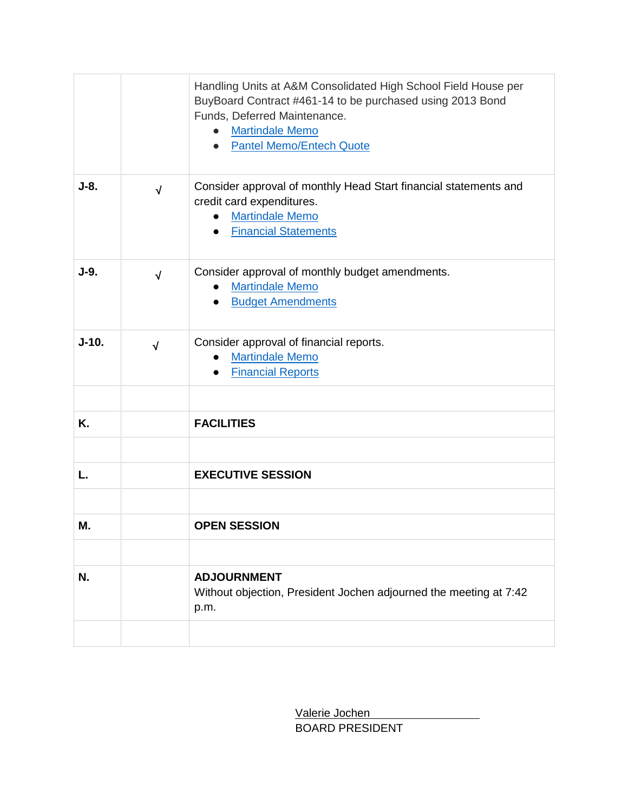|         |            | Handling Units at A&M Consolidated High School Field House per<br>BuyBoard Contract #461-14 to be purchased using 2013 Bond<br>Funds, Deferred Maintenance.<br><b>Martindale Memo</b><br><b>Pantel Memo/Entech Quote</b><br>$\bullet$ |
|---------|------------|---------------------------------------------------------------------------------------------------------------------------------------------------------------------------------------------------------------------------------------|
| $J-8.$  | $\sqrt{ }$ | Consider approval of monthly Head Start financial statements and<br>credit card expenditures.<br><b>Martindale Memo</b><br><b>Financial Statements</b><br>$\bullet$                                                                   |
| $J-9.$  | $\sqrt{ }$ | Consider approval of monthly budget amendments.<br><b>Martindale Memo</b><br><b>Budget Amendments</b>                                                                                                                                 |
| $J-10.$ | $\sqrt{ }$ | Consider approval of financial reports.<br><b>Martindale Memo</b><br><b>Financial Reports</b><br>$\bullet$                                                                                                                            |
| Κ.      |            | <b>FACILITIES</b>                                                                                                                                                                                                                     |
| L.      |            | <b>EXECUTIVE SESSION</b>                                                                                                                                                                                                              |
| Μ.      |            | <b>OPEN SESSION</b>                                                                                                                                                                                                                   |
| N.      |            | <b>ADJOURNMENT</b><br>Without objection, President Jochen adjourned the meeting at 7:42<br>p.m.                                                                                                                                       |
|         |            |                                                                                                                                                                                                                                       |

 Valerie Jochen BOARD PRESIDENT